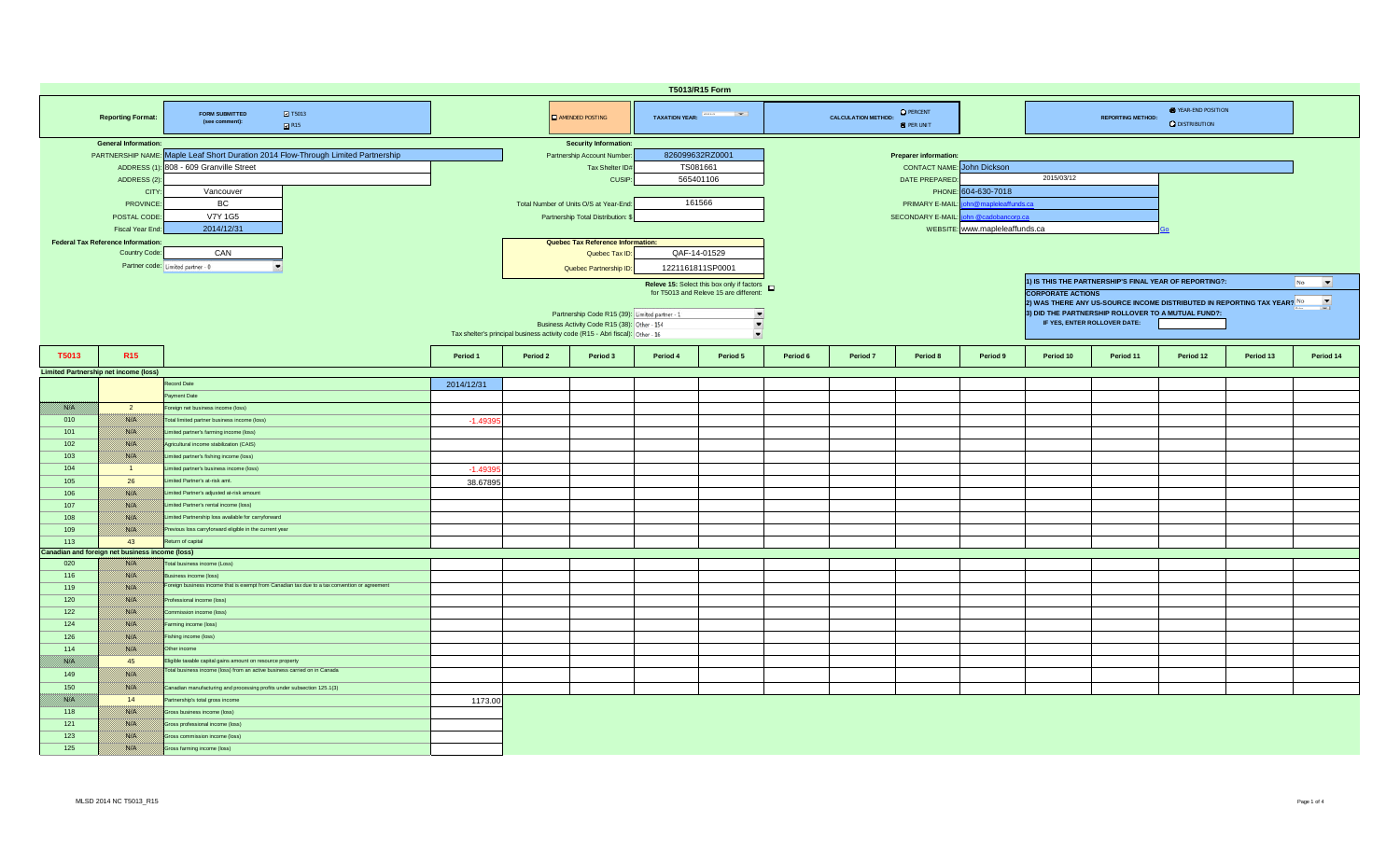| T5013/R15 Form                                                                               |                                                            |                                                                                               |            |                                                                                |                                                |                                                                |                                                     |          |                            |                                       |                     |                                                                                                     |           |           |           |           |  |  |  |  |
|----------------------------------------------------------------------------------------------|------------------------------------------------------------|-----------------------------------------------------------------------------------------------|------------|--------------------------------------------------------------------------------|------------------------------------------------|----------------------------------------------------------------|-----------------------------------------------------|----------|----------------------------|---------------------------------------|---------------------|-----------------------------------------------------------------------------------------------------|-----------|-----------|-----------|-----------|--|--|--|--|
| <b>2</b> T5013<br><b>FORM SUBMITTED</b><br><b>Reporting Format:</b><br>(see comment):<br>R15 |                                                            |                                                                                               |            |                                                                                | AMENDED POSTING                                |                                                                | TAXATION YEAR: France Party                         |          | <b>CALCULATION METHOD:</b> | <b>O</b> PERCENT<br><b>O</b> PER UNIT |                     | <b>E</b> YEAR-END POSITION<br><b>REPORTING METHOD:</b><br><b>Q</b> DISTRIBUTION                     |           |           |           |           |  |  |  |  |
|                                                                                              | <b>General Information:</b>                                |                                                                                               |            |                                                                                | <b>Security Information:</b>                   |                                                                |                                                     |          |                            |                                       |                     |                                                                                                     |           |           |           |           |  |  |  |  |
|                                                                                              |                                                            | PARTNERSHIP NAME: Maple Leaf Short Duration 2014 Flow-Through Limited Partnership             |            | 826099632RZ0001<br>Partnership Account Number<br><b>Preparer information:</b>  |                                                |                                                                |                                                     |          |                            |                                       |                     |                                                                                                     |           |           |           |           |  |  |  |  |
|                                                                                              |                                                            | ADDRESS (1): 808 - 609 Granville Street                                                       |            |                                                                                | Tax Shelter ID#                                | TS081661                                                       |                                                     |          |                            | <b>CONTACT NAME:</b> John Dickson     |                     |                                                                                                     |           |           |           |           |  |  |  |  |
|                                                                                              | ADDRESS (2)                                                |                                                                                               |            |                                                                                | CUSIP:                                         |                                                                | 565401106                                           |          |                            | DATE PREPARED                         |                     | 2015/03/12                                                                                          |           |           |           |           |  |  |  |  |
|                                                                                              | <b>CITY</b>                                                | Vancouver                                                                                     |            |                                                                                |                                                |                                                                |                                                     |          |                            |                                       | PHONE: 604-630-7018 |                                                                                                     |           |           |           |           |  |  |  |  |
|                                                                                              | <b>PROVINCE</b>                                            | BC                                                                                            |            |                                                                                | Total Number of Units O/S at Year-End:         |                                                                | 161566                                              |          |                            | PRIMARY E-MAIL                        |                     |                                                                                                     |           |           |           |           |  |  |  |  |
|                                                                                              | POSTAL CODE                                                | V7Y 1G5                                                                                       |            |                                                                                | Partnership Total Distribution:                | n@mapleleaffunds.ca<br>SECONDARY E-MAIL:<br>hn @cadobancorp.ca |                                                     |          |                            |                                       |                     |                                                                                                     |           |           |           |           |  |  |  |  |
|                                                                                              | <b>Fiscal Year End</b>                                     | 2014/12/31                                                                                    |            |                                                                                |                                                |                                                                |                                                     |          |                            |                                       |                     |                                                                                                     |           |           |           |           |  |  |  |  |
|                                                                                              |                                                            |                                                                                               |            | WEBSITE: www.mapleleaffunds.ca<br>Quebec Tax Reference Information:            |                                                |                                                                |                                                     |          |                            |                                       |                     |                                                                                                     |           |           |           |           |  |  |  |  |
|                                                                                              | <b>Federal Tax Reference Information:</b><br>Country Code: | CAN                                                                                           |            |                                                                                | Quebec Tax ID:                                 | QAF-14-01529                                                   |                                                     |          |                            |                                       |                     |                                                                                                     |           |           |           |           |  |  |  |  |
|                                                                                              |                                                            |                                                                                               |            |                                                                                |                                                |                                                                |                                                     |          |                            |                                       |                     |                                                                                                     |           |           |           |           |  |  |  |  |
|                                                                                              |                                                            | Partner code: Limited partner - 0                                                             |            |                                                                                | Quebec Partnership ID:                         |                                                                | 1221161811SP0001                                    |          |                            |                                       |                     |                                                                                                     |           |           |           |           |  |  |  |  |
|                                                                                              |                                                            |                                                                                               |            |                                                                                |                                                |                                                                | Releve 15: Select this box only if factors <b>D</b> |          |                            |                                       |                     | 1) IS THIS THE PARTNERSHIP'S FINAL YEAR OF REPORTING?:<br>$\overline{\phantom{a}}$<br>No            |           |           |           |           |  |  |  |  |
|                                                                                              |                                                            |                                                                                               |            |                                                                                |                                                |                                                                | for T5013 and Releve 15 are different:              |          |                            |                                       |                     | <b>CORPORATE ACTIONS</b>                                                                            |           |           |           |           |  |  |  |  |
|                                                                                              |                                                            |                                                                                               |            |                                                                                |                                                |                                                                |                                                     |          |                            |                                       |                     | $\overline{\phantom{a}}$<br>2) WAS THERE ANY US-SOURCE INCOME DISTRIBUTED IN REPORTING TAX YEAR? No |           |           |           |           |  |  |  |  |
|                                                                                              |                                                            |                                                                                               |            |                                                                                | Partnership Code R15 (39): Limited partner - 1 |                                                                | $\blacksquare$                                      |          |                            |                                       |                     | 3) DID THE PARTNERSHIP ROLLOVER TO A MUTUAL FUND?:                                                  |           |           |           |           |  |  |  |  |
|                                                                                              |                                                            |                                                                                               |            |                                                                                | Business Activity Code R15 (38): Other - 154   |                                                                | ▾<br>$\overline{\phantom{a}}$                       |          |                            |                                       |                     | IF YES, ENTER ROLLOVER DATE:                                                                        |           |           |           |           |  |  |  |  |
|                                                                                              |                                                            |                                                                                               |            | Tax shelter's principal business activity code (R15 - Abri fiscal): Other - 16 |                                                |                                                                |                                                     |          |                            |                                       |                     |                                                                                                     |           |           |           |           |  |  |  |  |
| T5013                                                                                        | R <sub>15</sub>                                            |                                                                                               | Period 1   | Period 2                                                                       | Period 3                                       | Period 4                                                       | Period 5                                            | Period 6 | Period 7                   | Period 8                              | Period 9            | Period 10                                                                                           | Period 11 | Period 12 | Period 13 | Period 14 |  |  |  |  |
|                                                                                              |                                                            |                                                                                               |            |                                                                                |                                                |                                                                |                                                     |          |                            |                                       |                     |                                                                                                     |           |           |           |           |  |  |  |  |
|                                                                                              | <b>Limited Partnership net income (loss)</b>               |                                                                                               |            |                                                                                |                                                |                                                                |                                                     |          |                            |                                       |                     |                                                                                                     |           |           |           |           |  |  |  |  |
|                                                                                              |                                                            | Record Date                                                                                   | 2014/12/31 |                                                                                |                                                |                                                                |                                                     |          |                            |                                       |                     |                                                                                                     |           |           |           |           |  |  |  |  |
|                                                                                              |                                                            | ayment Date                                                                                   |            |                                                                                |                                                |                                                                |                                                     |          |                            |                                       |                     |                                                                                                     |           |           |           |           |  |  |  |  |
| 1880 EU                                                                                      | $\overline{2}$                                             | oreign net business income (loss)                                                             |            |                                                                                |                                                |                                                                |                                                     |          |                            |                                       |                     |                                                                                                     |           |           |           |           |  |  |  |  |
| 010                                                                                          | <b>Sierpill</b>                                            | Total limited partner business income (loss)                                                  | $-1.4939$  |                                                                                |                                                |                                                                |                                                     |          |                            |                                       |                     |                                                                                                     |           |           |           |           |  |  |  |  |
| 101                                                                                          | <b>SSIS</b>                                                | Limited partner's farming income (loss)                                                       |            |                                                                                |                                                |                                                                |                                                     |          |                            |                                       |                     |                                                                                                     |           |           |           |           |  |  |  |  |
| 102                                                                                          | 1880 O.                                                    | Agricultural income stabilization (CAIS)                                                      |            |                                                                                |                                                |                                                                |                                                     |          |                            |                                       |                     |                                                                                                     |           |           |           |           |  |  |  |  |
| 103                                                                                          | 1880 H                                                     | Limited partner's fishing income (loss)                                                       |            |                                                                                |                                                |                                                                |                                                     |          |                            |                                       |                     |                                                                                                     |           |           |           |           |  |  |  |  |
| 104                                                                                          | $\blacksquare$                                             | imited partner's business income (loss)                                                       | $-1.4939$  |                                                                                |                                                |                                                                |                                                     |          |                            |                                       |                     |                                                                                                     |           |           |           |           |  |  |  |  |
| 105                                                                                          | 26                                                         | imited Partner's at-risk amt.                                                                 | 38.67895   |                                                                                |                                                |                                                                |                                                     |          |                            |                                       |                     |                                                                                                     |           |           |           |           |  |  |  |  |
| 106                                                                                          | <b>RSIKI</b>                                               | Limited Partner's adjusted at-risk amount                                                     |            |                                                                                |                                                |                                                                |                                                     |          |                            |                                       |                     |                                                                                                     |           |           |           |           |  |  |  |  |
| 107                                                                                          | 1880 O.                                                    | Limited Partner's rental income (loss)                                                        |            |                                                                                |                                                |                                                                |                                                     |          |                            |                                       |                     |                                                                                                     |           |           |           |           |  |  |  |  |
| 108                                                                                          | <b>Sierpill</b>                                            | Limited Partnership loss available for carryforward                                           |            |                                                                                |                                                |                                                                |                                                     |          |                            |                                       |                     |                                                                                                     |           |           |           |           |  |  |  |  |
| 109                                                                                          | <b>SSEE</b>                                                | Previous loss carryforward eligible in the current year                                       |            |                                                                                |                                                |                                                                |                                                     |          |                            |                                       |                     |                                                                                                     |           |           |           |           |  |  |  |  |
| 113                                                                                          | 43                                                         | Return of capital                                                                             |            |                                                                                |                                                |                                                                |                                                     |          |                            |                                       |                     |                                                                                                     |           |           |           |           |  |  |  |  |
|                                                                                              | Canadian and foreign net business income (loss)            |                                                                                               |            |                                                                                |                                                |                                                                |                                                     |          |                            |                                       |                     |                                                                                                     |           |           |           |           |  |  |  |  |
| 020                                                                                          |                                                            | Total business income (Loss)                                                                  |            |                                                                                |                                                |                                                                |                                                     |          |                            |                                       |                     |                                                                                                     |           |           |           |           |  |  |  |  |
| 116                                                                                          | <b>Siriki</b>                                              | Business income (loss)                                                                        |            |                                                                                |                                                |                                                                |                                                     |          |                            |                                       |                     |                                                                                                     |           |           |           |           |  |  |  |  |
| 119                                                                                          | 1880 V                                                     | Foreign business income that is exempt from Canadian tax due to a tax convention or agreement |            |                                                                                |                                                |                                                                |                                                     |          |                            |                                       |                     |                                                                                                     |           |           |           |           |  |  |  |  |
| 120                                                                                          | <b>SSIP</b>                                                | Professional income (loss)                                                                    |            |                                                                                |                                                |                                                                |                                                     |          |                            |                                       |                     |                                                                                                     |           |           |           |           |  |  |  |  |
| 122                                                                                          | <b>SKIM</b>                                                | Commission income (loss)                                                                      |            |                                                                                |                                                |                                                                |                                                     |          |                            |                                       |                     |                                                                                                     |           |           |           |           |  |  |  |  |
| 124                                                                                          | <b>RSIKI</b>                                               | arming income (loss)                                                                          |            |                                                                                |                                                |                                                                |                                                     |          |                            |                                       |                     |                                                                                                     |           |           |           |           |  |  |  |  |
|                                                                                              |                                                            |                                                                                               |            |                                                                                |                                                |                                                                |                                                     |          |                            |                                       |                     |                                                                                                     |           |           |           |           |  |  |  |  |
| 126                                                                                          | <b>Siriki</b>                                              | Fishing income (loss)                                                                         |            |                                                                                |                                                |                                                                |                                                     |          |                            |                                       |                     |                                                                                                     |           |           |           |           |  |  |  |  |
| 114                                                                                          | <b>1889 M</b>                                              | Other income                                                                                  |            |                                                                                |                                                |                                                                |                                                     |          |                            |                                       |                     |                                                                                                     |           |           |           |           |  |  |  |  |
| <b>Barbara</b>                                                                               | 45                                                         | Eligible taxable capital gains amount on resource property                                    |            |                                                                                |                                                |                                                                |                                                     |          |                            |                                       |                     |                                                                                                     |           |           |           |           |  |  |  |  |
| 149                                                                                          | <b>Ristori</b>                                             | Total business income (loss) from an active business carried on in Canada                     |            |                                                                                |                                                |                                                                |                                                     |          |                            |                                       |                     |                                                                                                     |           |           |           |           |  |  |  |  |
| 150                                                                                          | 1880 Oli                                                   | Canadian manufacturing and processing profits under subsection 125.1(3)                       |            |                                                                                |                                                |                                                                |                                                     |          |                            |                                       |                     |                                                                                                     |           |           |           |           |  |  |  |  |
| 1880 Oli                                                                                     | 14                                                         | Partnership's total gross income                                                              | 1173.00    |                                                                                |                                                |                                                                |                                                     |          |                            |                                       |                     |                                                                                                     |           |           |           |           |  |  |  |  |
| 118                                                                                          | <b>SSIE</b>                                                | Gross business income (loss)                                                                  |            |                                                                                |                                                |                                                                |                                                     |          |                            |                                       |                     |                                                                                                     |           |           |           |           |  |  |  |  |
| 121                                                                                          | <b>Ristori</b>                                             | <b>Sross professional income (loss)</b>                                                       |            |                                                                                |                                                |                                                                |                                                     |          |                            |                                       |                     |                                                                                                     |           |           |           |           |  |  |  |  |
| 123                                                                                          | 1880 O.                                                    | <b>Sross commission income (loss)</b>                                                         |            |                                                                                |                                                |                                                                |                                                     |          |                            |                                       |                     |                                                                                                     |           |           |           |           |  |  |  |  |
| 125                                                                                          | <b>BARTA</b>                                               | Gross farming income (loss)                                                                   |            |                                                                                |                                                |                                                                |                                                     |          |                            |                                       |                     |                                                                                                     |           |           |           |           |  |  |  |  |
|                                                                                              |                                                            |                                                                                               |            |                                                                                |                                                |                                                                |                                                     |          |                            |                                       |                     |                                                                                                     |           |           |           |           |  |  |  |  |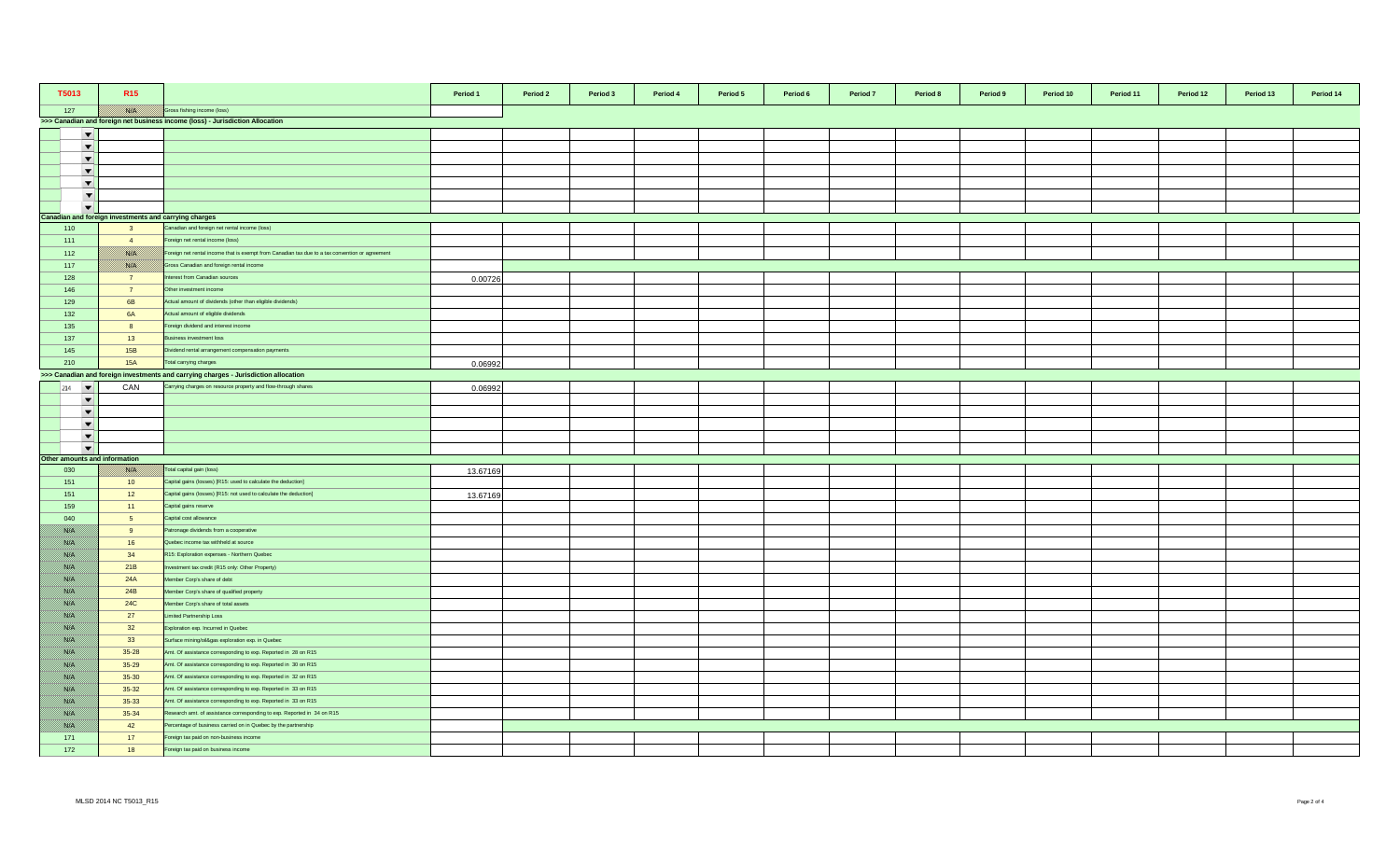| T5013                         | R <sub>15</sub>                                       |                                                                                                 | Period 1 | Period 2 | Period 3 | Period 4 | Period 5 | Period 6 | Period 7 | Period 8 | Period 9 | Period 10 | Period 11 | Period 12 | Period 13 | Period 14 |
|-------------------------------|-------------------------------------------------------|-------------------------------------------------------------------------------------------------|----------|----------|----------|----------|----------|----------|----------|----------|----------|-----------|-----------|-----------|-----------|-----------|
| 127                           |                                                       | ross fishing income (loss)                                                                      |          |          |          |          |          |          |          |          |          |           |           |           |           |           |
|                               |                                                       | >>> Canadian and foreign net business income (loss) - Jurisdiction Allocation                   |          |          |          |          |          |          |          |          |          |           |           |           |           |           |
| $\overline{\phantom{a}}$      |                                                       |                                                                                                 |          |          |          |          |          |          |          |          |          |           |           |           |           |           |
| $\blacktriangledown$          |                                                       |                                                                                                 |          |          |          |          |          |          |          |          |          |           |           |           |           |           |
| $\blacktriangledown$          |                                                       |                                                                                                 |          |          |          |          |          |          |          |          |          |           |           |           |           |           |
| $\overline{\phantom{a}}$      |                                                       |                                                                                                 |          |          |          |          |          |          |          |          |          |           |           |           |           |           |
| $\blacktriangledown$          |                                                       |                                                                                                 |          |          |          |          |          |          |          |          |          |           |           |           |           |           |
| $\cdot$                       |                                                       |                                                                                                 |          |          |          |          |          |          |          |          |          |           |           |           |           |           |
| $\overline{\phantom{a}}$      |                                                       |                                                                                                 |          |          |          |          |          |          |          |          |          |           |           |           |           |           |
|                               | Canadian and foreign investments and carrying charges |                                                                                                 |          |          |          |          |          |          |          |          |          |           |           |           |           |           |
| 110                           | $\overline{\mathbf{3}}$                               | Canadian and foreign net rental income (loss)                                                   |          |          |          |          |          |          |          |          |          |           |           |           |           |           |
| 111                           | $\overline{4}$                                        | oreign net rental income (loss)                                                                 |          |          |          |          |          |          |          |          |          |           |           |           |           |           |
| 112                           | <u> Britrill</u>                                      | Foreign net rental income that is exempt from Canadian tax due to a tax convention or agreement |          |          |          |          |          |          |          |          |          |           |           |           |           |           |
| 117                           | <u> Kirkil</u>                                        | Gross Canadian and foreign rental income                                                        |          |          |          |          |          |          |          |          |          |           |           |           |           |           |
| 128                           | 7                                                     | terest from Canadian sources                                                                    | 0.00726  |          |          |          |          |          |          |          |          |           |           |           |           |           |
| 146                           | $\overline{7}$                                        | Other investment income                                                                         |          |          |          |          |          |          |          |          |          |           |           |           |           |           |
| 129                           | 6B                                                    | Actual amount of dividends (other than eligible dividends)                                      |          |          |          |          |          |          |          |          |          |           |           |           |           |           |
| 132                           | <b>6A</b>                                             | Actual amount of eligible dividends                                                             |          |          |          |          |          |          |          |          |          |           |           |           |           |           |
| 135                           | 8                                                     | Foreign dividend and interest income                                                            |          |          |          |          |          |          |          |          |          |           |           |           |           |           |
| 137                           | 13                                                    | Business investment loss                                                                        |          |          |          |          |          |          |          |          |          |           |           |           |           |           |
| 145                           | 15B                                                   | Dividend rental arrangement compensation payments                                               |          |          |          |          |          |          |          |          |          |           |           |           |           |           |
| 210                           | <b>15A</b>                                            | Total carrying charges                                                                          | 0.06992  |          |          |          |          |          |          |          |          |           |           |           |           |           |
|                               |                                                       | >>> Canadian and foreign investments and carrying charges - Jurisdiction allocation             |          |          |          |          |          |          |          |          |          |           |           |           |           |           |
| 214                           | CAN                                                   | Carrying charges on resource property and flow-through shares                                   | 0.06992  |          |          |          |          |          |          |          |          |           |           |           |           |           |
| $\blacktriangledown$          |                                                       |                                                                                                 |          |          |          |          |          |          |          |          |          |           |           |           |           |           |
| $\overline{\phantom{a}}$      |                                                       |                                                                                                 |          |          |          |          |          |          |          |          |          |           |           |           |           |           |
| $\overline{\phantom{a}}$      |                                                       |                                                                                                 |          |          |          |          |          |          |          |          |          |           |           |           |           |           |
| $\blacktriangledown$          |                                                       |                                                                                                 |          |          |          |          |          |          |          |          |          |           |           |           |           |           |
| $\overline{\phantom{a}}$      |                                                       |                                                                                                 |          |          |          |          |          |          |          |          |          |           |           |           |           |           |
| Other amounts and information |                                                       |                                                                                                 |          |          |          |          |          |          |          |          |          |           |           |           |           |           |
| 030                           | <u> Britrill</u>                                      | Total capital gain (loss)                                                                       | 13.67169 |          |          |          |          |          |          |          |          |           |           |           |           |           |
| 151                           | 10                                                    | Capital gains (losses) [R15: used to calculate the deduction]                                   |          |          |          |          |          |          |          |          |          |           |           |           |           |           |
| 151                           | 12                                                    | Capital gains (losses) [R15: not used to calculate the deduction]                               | 13.67169 |          |          |          |          |          |          |          |          |           |           |           |           |           |
| 159                           | 11                                                    | Capital gains reserve                                                                           |          |          |          |          |          |          |          |          |          |           |           |           |           |           |
| 040                           | 5 <sub>5</sub>                                        | Capital cost allowance                                                                          |          |          |          |          |          |          |          |          |          |           |           |           |           |           |
| <u> British</u>               | 9                                                     | Patronage dividends from a cooperative                                                          |          |          |          |          |          |          |          |          |          |           |           |           |           |           |
| <u> Birth</u>                 | 16                                                    | Quebec income tax withheld at source                                                            |          |          |          |          |          |          |          |          |          |           |           |           |           |           |
| BAKA K                        | 34                                                    | R15: Exploration expenses - Northern Quebec                                                     |          |          |          |          |          |          |          |          |          |           |           |           |           |           |
| 1980 OS                       | 21B                                                   | westment tax credit (R15 only: Other Property)                                                  |          |          |          |          |          |          |          |          |          |           |           |           |           |           |
| <u> British</u>               | 24A                                                   | Member Corp's share of debt                                                                     |          |          |          |          |          |          |          |          |          |           |           |           |           |           |
| BANG K                        | 24B                                                   | Member Corp's share of qualified property                                                       |          |          |          |          |          |          |          |          |          |           |           |           |           |           |
| //www                         | <b>24C</b>                                            | Member Corp's share of total assets                                                             |          |          |          |          |          |          |          |          |          |           |           |           |           |           |
| <u> British</u>               | 27                                                    | Limited Partnership Loss                                                                        |          |          |          |          |          |          |          |          |          |           |           |           |           |           |
| Birth M                       | 32                                                    | Exploration exp. Incurred in Quebec                                                             |          |          |          |          |          |          |          |          |          |           |           |           |           |           |
| <u> Bibliottel</u>            | 33                                                    | Surface mining/oil&gas exploration exp. in Quebec                                               |          |          |          |          |          |          |          |          |          |           |           |           |           |           |
| <u> Birliy</u>                | $35 - 28$                                             | Amt. Of assistance corresponding to exp. Reported in 28 on R15                                  |          |          |          |          |          |          |          |          |          |           |           |           |           |           |
| //www                         | $35 - 29$                                             | Amt. Of assistance corresponding to exp. Reported in 30 on R15                                  |          |          |          |          |          |          |          |          |          |           |           |           |           |           |
| <u> British</u>               | $35 - 30$                                             | Amt. Of assistance corresponding to exp. Reported in 32 on R15                                  |          |          |          |          |          |          |          |          |          |           |           |           |           |           |
| Birth M                       | $35 - 32$                                             | Amt. Of assistance corresponding to exp. Reported in 33 on R15                                  |          |          |          |          |          |          |          |          |          |           |           |           |           |           |
| <u> Karl K</u>                | $35 - 33$                                             | Amt. Of assistance corresponding to exp. Reported in 33 on R15                                  |          |          |          |          |          |          |          |          |          |           |           |           |           |           |
| <u> Birth</u>                 | 35-34                                                 | Research amt. of assistance corresponding to exp. Reported in 34 on R15                         |          |          |          |          |          |          |          |          |          |           |           |           |           |           |
| //www                         | 42                                                    | Percentage of business carried on in Quebec by the partnership                                  |          |          |          |          |          |          |          |          |          |           |           |           |           |           |
| 171                           | 17                                                    | Foreign tax paid on non-business income                                                         |          |          |          |          |          |          |          |          |          |           |           |           |           |           |
| 172                           | 18                                                    | oreign tax paid on business income                                                              |          |          |          |          |          |          |          |          |          |           |           |           |           |           |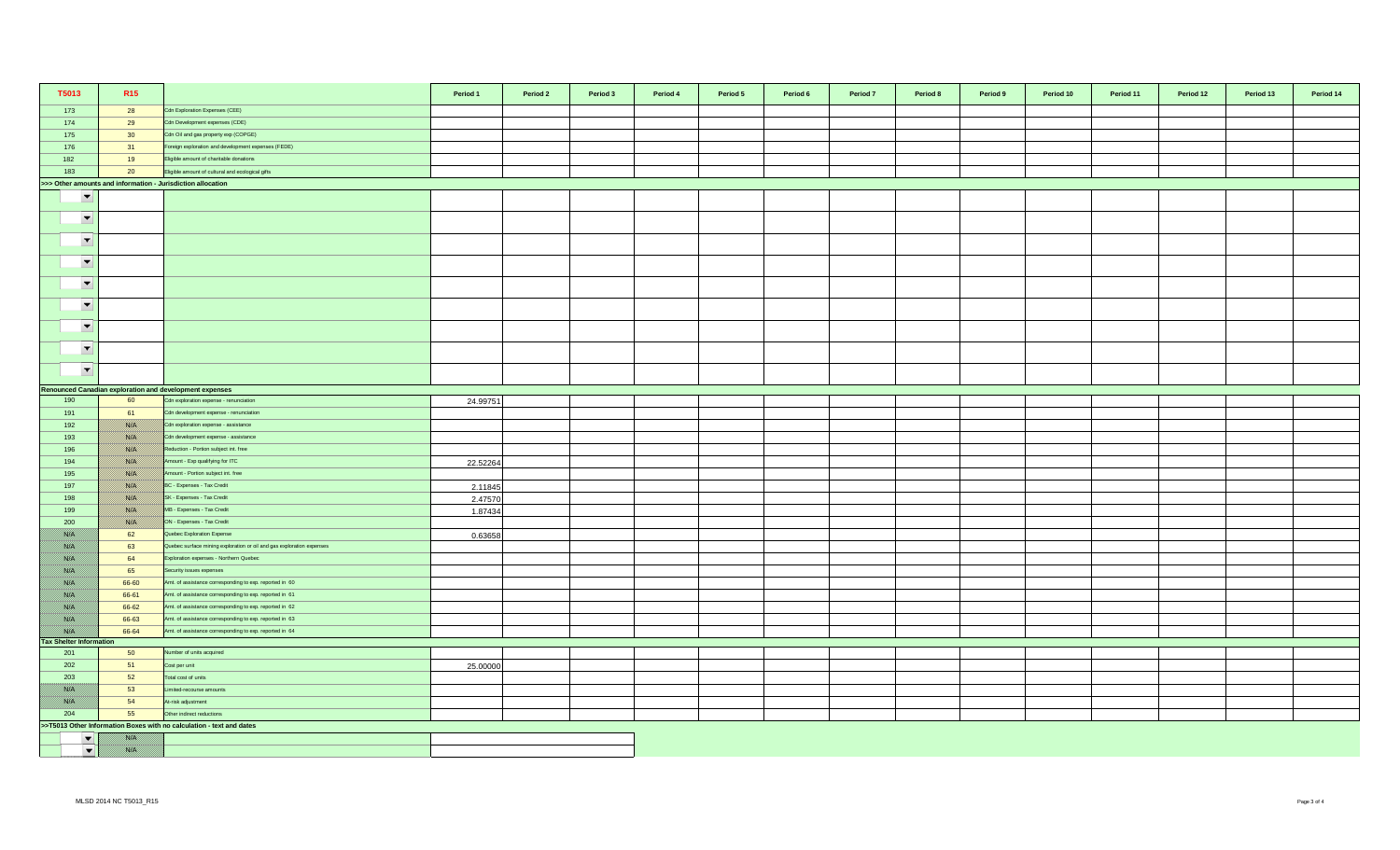| T5013                                 | R <sub>15</sub> |                                                                       | Period 1 | Period 2 | Period 3 | Period 4 | Period 5 | Period 6 | Period 7 | Period 8 | Period 9 | Period 10 | Period 11 | Period 12 | Period 13 | Period 14 |
|---------------------------------------|-----------------|-----------------------------------------------------------------------|----------|----------|----------|----------|----------|----------|----------|----------|----------|-----------|-----------|-----------|-----------|-----------|
| 173                                   | 28              | Cdn Exploration Expenses (CEE)                                        |          |          |          |          |          |          |          |          |          |           |           |           |           |           |
| 174                                   | 29              | Cdn Development expenses (CDE)                                        |          |          |          |          |          |          |          |          |          |           |           |           |           |           |
| 175                                   | 30 <sup>°</sup> | Cdn Oil and gas property exp (COPGE)                                  |          |          |          |          |          |          |          |          |          |           |           |           |           |           |
| 176                                   | 31              | Foreign exploration and development expenses (FEDE)                   |          |          |          |          |          |          |          |          |          |           |           |           |           |           |
| 182                                   | 19              | Eligible amount of charitable donations                               |          |          |          |          |          |          |          |          |          |           |           |           |           |           |
| 183                                   | 20              | Eligible amount of cultural and ecological gifts                      |          |          |          |          |          |          |          |          |          |           |           |           |           |           |
|                                       |                 | >>> Other amounts and information - Jurisdiction allocation           |          |          |          |          |          |          |          |          |          |           |           |           |           |           |
| $\overline{\phantom{a}}$              |                 |                                                                       |          |          |          |          |          |          |          |          |          |           |           |           |           |           |
| $\overline{\phantom{a}}$              |                 |                                                                       |          |          |          |          |          |          |          |          |          |           |           |           |           |           |
| $\overline{\phantom{a}}$              |                 |                                                                       |          |          |          |          |          |          |          |          |          |           |           |           |           |           |
| $\overline{\phantom{a}}$              |                 |                                                                       |          |          |          |          |          |          |          |          |          |           |           |           |           |           |
| $\overline{\phantom{a}}$              |                 |                                                                       |          |          |          |          |          |          |          |          |          |           |           |           |           |           |
| $\overline{\phantom{a}}$              |                 |                                                                       |          |          |          |          |          |          |          |          |          |           |           |           |           |           |
| $\overline{\phantom{a}}$              |                 |                                                                       |          |          |          |          |          |          |          |          |          |           |           |           |           |           |
| $\overline{\phantom{a}}$              |                 |                                                                       |          |          |          |          |          |          |          |          |          |           |           |           |           |           |
| $\blacktriangledown$                  |                 |                                                                       |          |          |          |          |          |          |          |          |          |           |           |           |           |           |
|                                       |                 | Renounced Canadian exploration and development expenses               |          |          |          |          |          |          |          |          |          |           |           |           |           |           |
| 190                                   | 60              | Cdn exploration expense - renunciation                                | 24.99751 |          |          |          |          |          |          |          |          |           |           |           |           |           |
| 191                                   | 61              | Cdn development expense - renunciation                                |          |          |          |          |          |          |          |          |          |           |           |           |           |           |
| 192                                   | <u> Karlin</u>  | Cdn exploration expense - assistance                                  |          |          |          |          |          |          |          |          |          |           |           |           |           |           |
| 193                                   |                 | Cdn development expense - assistance                                  |          |          |          |          |          |          |          |          |          |           |           |           |           |           |
| 196                                   |                 | Reduction - Portion subject int. free                                 |          |          |          |          |          |          |          |          |          |           |           |           |           |           |
| 194                                   |                 | Amount - Exp qualifying for ITC                                       | 22.52264 |          |          |          |          |          |          |          |          |           |           |           |           |           |
| 195                                   | <u> ISSUS I</u> | mount - Portion subject int. free                                     |          |          |          |          |          |          |          |          |          |           |           |           |           |           |
| 197                                   | <u> Karlin</u>  | BC - Expenses - Tax Credit                                            | 2.11845  |          |          |          |          |          |          |          |          |           |           |           |           |           |
| 198                                   |                 | SK - Expenses - Tax Credit                                            | 2.47570  |          |          |          |          |          |          |          |          |           |           |           |           |           |
| 199                                   |                 | MB - Expenses - Tax Credit                                            | 1.87434  |          |          |          |          |          |          |          |          |           |           |           |           |           |
| 200                                   | USSA S          | ON - Expenses - Tax Credit                                            |          |          |          |          |          |          |          |          |          |           |           |           |           |           |
| film an                               | 62              | Quebec Exploration Expense                                            | 0.63658  |          |          |          |          |          |          |          |          |           |           |           |           |           |
| <u> Biskopi I</u>                     | 63              | Quebec surface mining exploration or oil and gas exploration expenses |          |          |          |          |          |          |          |          |          |           |           |           |           |           |
| <u> British</u>                       | 64              | Exploration expenses - Northern Quebec                                |          |          |          |          |          |          |          |          |          |           |           |           |           |           |
| <u> Wissels I</u>                     | 65              | Security issues expenses                                              |          |          |          |          |          |          |          |          |          |           |           |           |           |           |
| 78. S                                 | 66-60           | Amt. of assistance corresponding to exp. reported in 60               |          |          |          |          |          |          |          |          |          |           |           |           |           |           |
| film an                               | 66-61           | Amt. of assistance corresponding to exp. reported in 61               |          |          |          |          |          |          |          |          |          |           |           |           |           |           |
| <u>filman</u>                         | 66-62           | Amt. of assistance corresponding to exp. reported in 62               |          |          |          |          |          |          |          |          |          |           |           |           |           |           |
| <u> British</u>                       | 66-63           | Amt. of assistance corresponding to exp. reported in 63               |          |          |          |          |          |          |          |          |          |           |           |           |           |           |
|                                       | 66-64           | Amt. of assistance corresponding to exp. reported in 64               |          |          |          |          |          |          |          |          |          |           |           |           |           |           |
| <b>Tax Shelter Information</b><br>201 | 50              | lumber of units acquired                                              |          |          |          |          |          |          |          |          |          |           |           |           |           |           |
| 202                                   | 51              | Cost per unit                                                         | 25.00000 |          |          |          |          |          |          |          |          |           |           |           |           |           |
| 203                                   | 52              | Total cost of units                                                   |          |          |          |          |          |          |          |          |          |           |           |           |           |           |
|                                       | 53              | imited-recourse amounts                                               |          |          |          |          |          |          |          |          |          |           |           |           |           |           |
|                                       | 54              | At-risk adjustment                                                    |          |          |          |          |          |          |          |          |          |           |           |           |           |           |
| 204                                   | 55              | Other indirect reductions                                             |          |          |          |          |          |          |          |          |          |           |           |           |           |           |
|                                       |                 | >>T5013 Other Information Boxes with no calculation - text and dates  |          |          |          |          |          |          |          |          |          |           |           |           |           |           |
| $\blacktriangledown$                  |                 |                                                                       |          |          |          |          |          |          |          |          |          |           |           |           |           |           |
| $\blacktriangledown$                  | film an         |                                                                       |          |          |          |          |          |          |          |          |          |           |           |           |           |           |
|                                       |                 |                                                                       |          |          |          |          |          |          |          |          |          |           |           |           |           |           |